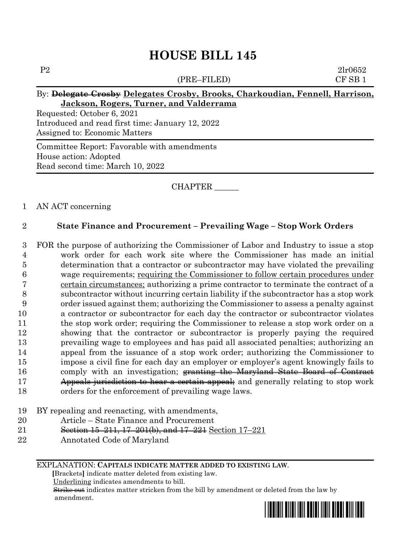# **HOUSE BILL 145**

# P2 2lr0652 (PRE–FILED) CF SB 1 By: **Delegate Crosby Delegates Crosby, Brooks, Charkoudian, Fennell, Harrison, Jackson, Rogers, Turner, and Valderrama** Requested: October 6, 2021 Introduced and read first time: January 12, 2022 Assigned to: Economic Matters Committee Report: Favorable with amendments House action: Adopted

CHAPTER \_\_\_\_\_\_

## 1 AN ACT concerning

Read second time: March 10, 2022

## 2 **State Finance and Procurement – Prevailing Wage – Stop Work Orders**

 FOR the purpose of authorizing the Commissioner of Labor and Industry to issue a stop work order for each work site where the Commissioner has made an initial determination that a contractor or subcontractor may have violated the prevailing wage requirements; requiring the Commissioner to follow certain procedures under certain circumstances; authorizing a prime contractor to terminate the contract of a subcontractor without incurring certain liability if the subcontractor has a stop work order issued against them; authorizing the Commissioner to assess a penalty against a contractor or subcontractor for each day the contractor or subcontractor violates the stop work order; requiring the Commissioner to release a stop work order on a showing that the contractor or subcontractor is properly paying the required prevailing wage to employees and has paid all associated penalties; authorizing an appeal from the issuance of a stop work order; authorizing the Commissioner to impose a civil fine for each day an employer or employer's agent knowingly fails to 16 comply with an investigation; granting the Maryland State Board of Contract 17 Appeals jurisdiction to hear a certain appeal; and generally relating to stop work orders for the enforcement of prevailing wage laws.

### 19 BY repealing and reenacting, with amendments,

- 20 Article State Finance and Procurement
- 21 Section 15–211, 17–201(b), and 17–221 Section 17–221
- 22 Annotated Code of Maryland

EXPLANATION: **CAPITALS INDICATE MATTER ADDED TO EXISTING LAW**.

 **[**Brackets**]** indicate matter deleted from existing law.

Underlining indicates amendments to bill.

 Strike out indicates matter stricken from the bill by amendment or deleted from the law by amendment.

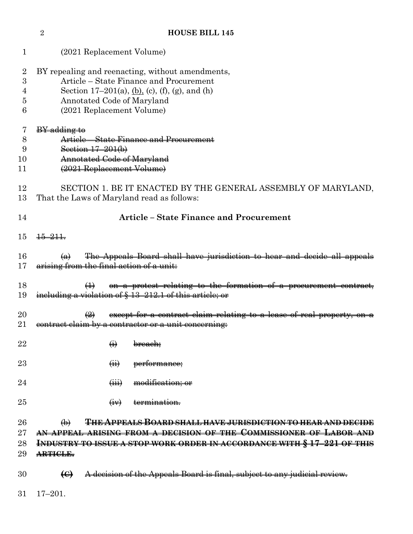| 1                                  | (2021 Replacement Volume)                                                                                                                                                                                                                           |  |  |  |  |
|------------------------------------|-----------------------------------------------------------------------------------------------------------------------------------------------------------------------------------------------------------------------------------------------------|--|--|--|--|
| $\overline{2}$<br>3<br>4<br>5<br>6 | BY repealing and reenacting, without amendments,<br>Article – State Finance and Procurement<br>Section 17–201(a), $(b)$ , $(c)$ , $(f)$ , $(g)$ , and $(h)$<br>Annotated Code of Maryland<br>(2021 Replacement Volume)                              |  |  |  |  |
| 7<br>8<br>9<br>10<br>11            | <b>BY</b> adding to<br>Article – State Finance and Procurement<br>Section $17 - 201(b)$<br>Annotated Code of Maryland<br>(2021 Replacement Volume)                                                                                                  |  |  |  |  |
| 12<br>13                           | SECTION 1. BE IT ENACTED BY THE GENERAL ASSEMBLY OF MARYLAND,<br>That the Laws of Maryland read as follows:                                                                                                                                         |  |  |  |  |
| 14                                 | <b>Article - State Finance and Procurement</b>                                                                                                                                                                                                      |  |  |  |  |
| 15                                 | $\frac{15-211}{2}$                                                                                                                                                                                                                                  |  |  |  |  |
| 16<br>17                           | The Appeals Board shall have jurisdiction to hear and decide all appeals<br>$\left( a\right)$<br>arising from the final action of a unit.                                                                                                           |  |  |  |  |
| 18<br>19                           | on a protest relating to the formation of a procurement contract,<br>$\leftrightarrow$<br>including a violation of § 13-212.1 of this article; or                                                                                                   |  |  |  |  |
| 20<br>21                           | except for a contract claim relating to a lease of real property, on a<br>$\left(\frac{2}{2}\right)$<br>contract claim by a contractor or a unit concerning:                                                                                        |  |  |  |  |
| 22                                 | $\leftrightarrow$<br><del>breach;</del>                                                                                                                                                                                                             |  |  |  |  |
| 23                                 | performance;<br>$\overline{(\mathbf{H})}$                                                                                                                                                                                                           |  |  |  |  |
| 24                                 | modification; or<br>$\overline{(\overline{iii})}$                                                                                                                                                                                                   |  |  |  |  |
| 25                                 | termination.<br>$\left(\frac{1}{2}V\right)$                                                                                                                                                                                                         |  |  |  |  |
| 26<br>27<br>28<br>29               | <del>THE APPEALS BOARD SHALL HAVE JURISDICTION TO HEAR AND DECIDE</del><br>$\bigoplus$<br>AN APPEAL ARISING FROM A DECISION OF THE COMMISSIONER OF LABOR AND<br>INDUSTRY TO ISSUE A STOP WORK ORDER IN ACCORDANCE WITH § 17-221 OF THIS<br>ARTICLE. |  |  |  |  |
| 30                                 | A decision of the Appeals Board is final, subject to any judicial review.<br>$\Theta$                                                                                                                                                               |  |  |  |  |
| 31                                 | $17 - 201.$                                                                                                                                                                                                                                         |  |  |  |  |

**HOUSE BILL 145**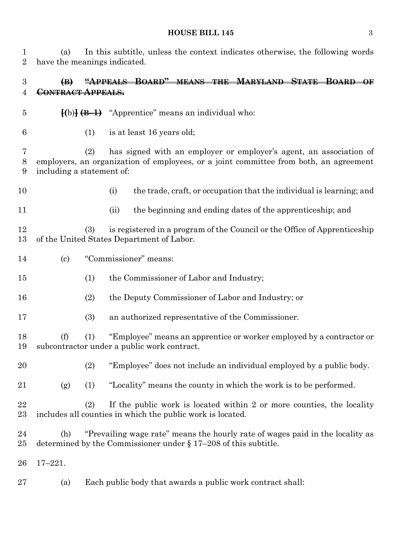#### **HOUSE BILL 145** 3

 (a) In this subtitle, unless the context indicates otherwise, the following words have the meanings indicated.

# **(B) "APPEALS BOARD" MEANS THE MARYLAND STATE BOARD OF CONTRACT APPEALS.**

- **[(**b)**] (B–1)** "Apprentice" means an individual who:
- (1) is at least 16 years old;

 (2) has signed with an employer or employer's agent, an association of employers, an organization of employees, or a joint committee from both, an agreement including a statement of:

- 
- (i) the trade, craft, or occupation that the individual is learning; and
- 
- (ii) the beginning and ending dates of the apprenticeship; and

 (3) is registered in a program of the Council or the Office of Apprenticeship of the United States Department of Labor.

- (c) "Commissioner" means:
- (1) the Commissioner of Labor and Industry;
- (2) the Deputy Commissioner of Labor and Industry; or
- (3) an authorized representative of the Commissioner.

 (f) (1) "Employee" means an apprentice or worker employed by a contractor or subcontractor under a public work contract.

(2) "Employee" does not include an individual employed by a public body.

- (g) (1) "Locality" means the county in which the work is to be performed.
- (2) If the public work is located within 2 or more counties, the locality includes all counties in which the public work is located.
- (h) "Prevailing wage rate" means the hourly rate of wages paid in the locality as determined by the Commissioner under § 17–208 of this subtitle.
- 17–221.
- (a) Each public body that awards a public work contract shall: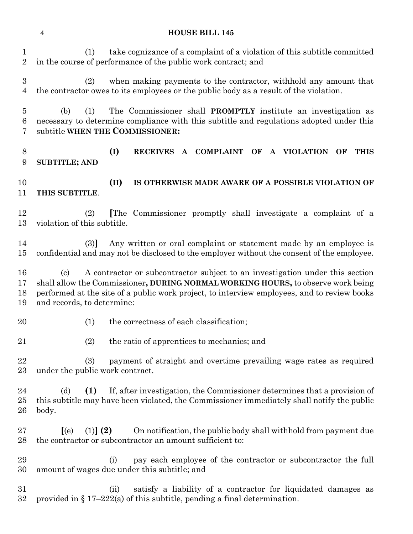#### **HOUSE BILL 145**

 (1) take cognizance of a complaint of a violation of this subtitle committed in the course of performance of the public work contract; and (2) when making payments to the contractor, withhold any amount that the contractor owes to its employees or the public body as a result of the violation. (b) (1) The Commissioner shall **PROMPTLY** institute an investigation as necessary to determine compliance with this subtitle and regulations adopted under this subtitle **WHEN THE COMMISSIONER: (I) RECEIVES A COMPLAINT OF A VIOLATION OF THIS SUBTITLE; AND (II) IS OTHERWISE MADE AWARE OF A POSSIBLE VIOLATION OF THIS SUBTITLE**. (2) **[**The Commissioner promptly shall investigate a complaint of a violation of this subtitle. (3)**]** Any written or oral complaint or statement made by an employee is confidential and may not be disclosed to the employer without the consent of the employee. (c) A contractor or subcontractor subject to an investigation under this section shall allow the Commissioner**, DURING NORMAL WORKING HOURS,** to observe work being performed at the site of a public work project, to interview employees, and to review books and records, to determine: 20 (1) the correctness of each classification; (2) the ratio of apprentices to mechanics; and (3) payment of straight and overtime prevailing wage rates as required under the public work contract. (d) **(1)** If, after investigation, the Commissioner determines that a provision of this subtitle may have been violated, the Commissioner immediately shall notify the public body. **[**(e) (1)**] (2)** On notification, the public body shall withhold from payment due the contractor or subcontractor an amount sufficient to: (i) pay each employee of the contractor or subcontractor the full amount of wages due under this subtitle; and (ii) satisfy a liability of a contractor for liquidated damages as 32 provided in  $\S 17-222(a)$  of this subtitle, pending a final determination.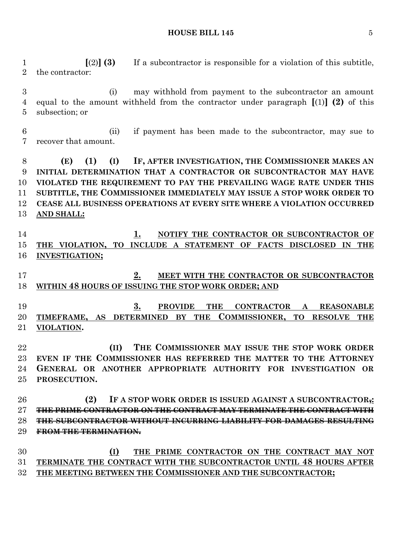**HOUSE BILL 145** 5

 **[**(2)**] (3)** If a subcontractor is responsible for a violation of this subtitle, the contractor:

 (i) may withhold from payment to the subcontractor an amount equal to the amount withheld from the contractor under paragraph **[**(1)**] (2)** of this subsection; or

 (ii) if payment has been made to the subcontractor, may sue to recover that amount.

 **(E) (1) (I) IF, AFTER INVESTIGATION, THE COMMISSIONER MAKES AN INITIAL DETERMINATION THAT A CONTRACTOR OR SUBCONTRACTOR MAY HAVE VIOLATED THE REQUIREMENT TO PAY THE PREVAILING WAGE RATE UNDER THIS SUBTITLE, THE COMMISSIONER IMMEDIATELY MAY ISSUE A STOP WORK ORDER TO CEASE ALL BUSINESS OPERATIONS AT EVERY SITE WHERE A VIOLATION OCCURRED AND SHALL:**

 **1. NOTIFY THE CONTRACTOR OR SUBCONTRACTOR OF THE VIOLATION, TO INCLUDE A STATEMENT OF FACTS DISCLOSED IN THE INVESTIGATION;**

 **2. MEET WITH THE CONTRACTOR OR SUBCONTRACTOR WITHIN 48 HOURS OF ISSUING THE STOP WORK ORDER; AND**

 **3. PROVIDE THE CONTRACTOR A REASONABLE TIMEFRAME, AS DETERMINED BY THE COMMISSIONER, TO RESOLVE THE VIOLATION.**

 **(II) THE COMMISSIONER MAY ISSUE THE STOP WORK ORDER EVEN IF THE COMMISSIONER HAS REFERRED THE MATTER TO THE ATTORNEY GENERAL OR ANOTHER APPROPRIATE AUTHORITY FOR INVESTIGATION OR PROSECUTION.**

 **(2) IF A STOP WORK ORDER IS ISSUED AGAINST A SUBCONTRACTOR,: THE PRIME CONTRACTOR ON THE CONTRACT MAY TERMINATE THE CONTRACT WITH THE SUBCONTRACTOR WITHOUT INCURRING LIABILITY FOR DAMAGES RESULTING FROM THE TERMINATION.**

 **(I) THE PRIME CONTRACTOR ON THE CONTRACT MAY NOT TERMINATE THE CONTRACT WITH THE SUBCONTRACTOR UNTIL 48 HOURS AFTER THE MEETING BETWEEN THE COMMISSIONER AND THE SUBCONTRACTOR;**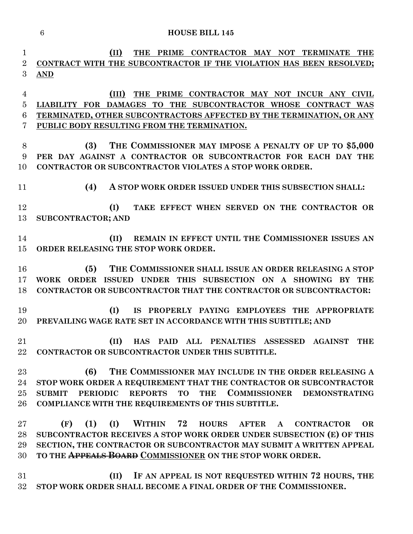|                | $\,6\,$<br><b>HOUSE BILL 145</b>                                                                                                  |
|----------------|-----------------------------------------------------------------------------------------------------------------------------------|
| 1              | (II)<br><b>THE</b><br>PRIME CONTRACTOR MAY NOT TERMINATE<br><b>THE</b>                                                            |
| $\overline{2}$ | CONTRACT WITH THE SUBCONTRACTOR IF THE VIOLATION HAS BEEN RESOLVED;                                                               |
| 3              | AND                                                                                                                               |
| 4              | PRIME CONTRACTOR MAY NOT INCUR ANY CIVIL<br>(III)<br>THE                                                                          |
| 5              | LIABILITY FOR DAMAGES TO THE SUBCONTRACTOR WHOSE CONTRACT WAS                                                                     |
| 6              | TERMINATED, OTHER SUBCONTRACTORS AFFECTED BY THE TERMINATION, OR ANY                                                              |
| 7              | PUBLIC BODY RESULTING FROM THE TERMINATION.                                                                                       |
| 8              | THE COMMISSIONER MAY IMPOSE A PENALTY OF UP TO \$5,000<br>(3)                                                                     |
| 9              | PER DAY AGAINST A CONTRACTOR OR SUBCONTRACTOR FOR EACH DAY THE                                                                    |
| 10             | <b>CONTRACTOR OR SUBCONTRACTOR VIOLATES A STOP WORK ORDER.</b>                                                                    |
|                |                                                                                                                                   |
| 11             | (4)<br>A STOP WORK ORDER ISSUED UNDER THIS SUBSECTION SHALL:                                                                      |
| 12             | TAKE EFFECT WHEN SERVED ON THE CONTRACTOR OR<br>(I)                                                                               |
| 13             | <b>SUBCONTRACTOR; AND</b>                                                                                                         |
|                |                                                                                                                                   |
| 14             | REMAIN IN EFFECT UNTIL THE COMMISSIONER ISSUES AN<br>(II)                                                                         |
| 15             | ORDER RELEASING THE STOP WORK ORDER.                                                                                              |
| 16             | (5)<br>THE COMMISSIONER SHALL ISSUE AN ORDER RELEASING A STOP                                                                     |
| 17             | WORK ORDER ISSUED UNDER THIS SUBSECTION ON A SHOWING BY THE                                                                       |
| 18             | CONTRACTOR OR SUBCONTRACTOR THAT THE CONTRACTOR OR SUBCONTRACTOR:                                                                 |
| 19             | IS PROPERLY PAYING EMPLOYEES THE APPROPRIATE                                                                                      |
| 20             | (I)<br>PREVAILING WAGE RATE SET IN ACCORDANCE WITH THIS SUBTITLE; AND                                                             |
|                |                                                                                                                                   |
| 21             | (II)<br>HAS PAID ALL PENALTIES ASSESSED AGAINST<br><b>THE</b>                                                                     |
| 22             | CONTRACTOR OR SUBCONTRACTOR UNDER THIS SUBTITLE.                                                                                  |
| 23             | (6)<br>THE COMMISSIONER MAY INCLUDE IN THE ORDER RELEASING A                                                                      |
| 24             | STOP WORK ORDER A REQUIREMENT THAT THE CONTRACTOR OR SUBCONTRACTOR                                                                |
| 25             | COMMISSIONER DEMONSTRATING<br>PERIODIC REPORTS TO<br><b>THE</b><br><b>SUBMIT</b>                                                  |
| 26             | COMPLIANCE WITH THE REQUIREMENTS OF THIS SUBTITLE.                                                                                |
|                |                                                                                                                                   |
| $27\,$         | WITHIN 72 HOURS<br>(F)<br>(1)<br>(I)<br><b>CONTRACTOR</b><br><b>AFTER</b><br><b>OR</b><br>$\mathbf{A}$                            |
| 28             | SUBCONTRACTOR RECEIVES A STOP WORK ORDER UNDER SUBSECTION (E) OF THIS                                                             |
| 29<br>30       | SECTION, THE CONTRACTOR OR SUBCONTRACTOR MAY SUBMIT A WRITTEN APPEAL<br>TO THE APPEALS BOARD COMMISSIONER ON THE STOP WORK ORDER. |
|                |                                                                                                                                   |
| 31             | IF AN APPEAL IS NOT REQUESTED WITHIN 72 HOURS, THE<br>(II)                                                                        |
| $32\,$         | STOP WORK ORDER SHALL BECOME A FINAL ORDER OF THE COMMISSIONER.                                                                   |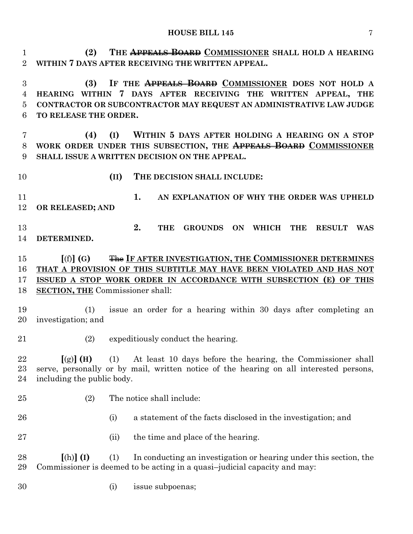**(2) THE APPEALS BOARD COMMISSIONER SHALL HOLD A HEARING WITHIN 7 DAYS AFTER RECEIVING THE WRITTEN APPEAL.**

 **(3) IF THE APPEALS BOARD COMMISSIONER DOES NOT HOLD A HEARING WITHIN 7 DAYS AFTER RECEIVING THE WRITTEN APPEAL, THE CONTRACTOR OR SUBCONTRACTOR MAY REQUEST AN ADMINISTRATIVE LAW JUDGE TO RELEASE THE ORDER.**

 **(4) (I) WITHIN 5 DAYS AFTER HOLDING A HEARING ON A STOP WORK ORDER UNDER THIS SUBSECTION, THE APPEALS BOARD COMMISSIONER SHALL ISSUE A WRITTEN DECISION ON THE APPEAL.**

**(II) THE DECISION SHALL INCLUDE:**

 **1. AN EXPLANATION OF WHY THE ORDER WAS UPHELD OR RELEASED; AND**

 **2. THE GROUNDS ON WHICH THE RESULT WAS DETERMINED.**

 **[**(f)**] (G)** The **IF AFTER INVESTIGATION, THE COMMISSIONER DETERMINES THAT A PROVISION OF THIS SUBTITLE MAY HAVE BEEN VIOLATED AND HAS NOT ISSUED A STOP WORK ORDER IN ACCORDANCE WITH SUBSECTION (E) OF THIS SECTION, THE** Commissioner shall:

 (1) issue an order for a hearing within 30 days after completing an investigation; and

- 
- (2) expeditiously conduct the hearing.

 **[**(g)**] (H)** (1) At least 10 days before the hearing, the Commissioner shall serve, personally or by mail, written notice of the hearing on all interested persons, including the public body.

- 
- (2) The notice shall include:
- (i) a statement of the facts disclosed in the investigation; and

27 (ii) the time and place of the hearing.

 **[**(h)**] (I)** (1) In conducting an investigation or hearing under this section, the Commissioner is deemed to be acting in a quasi–judicial capacity and may:

(i) issue subpoenas;